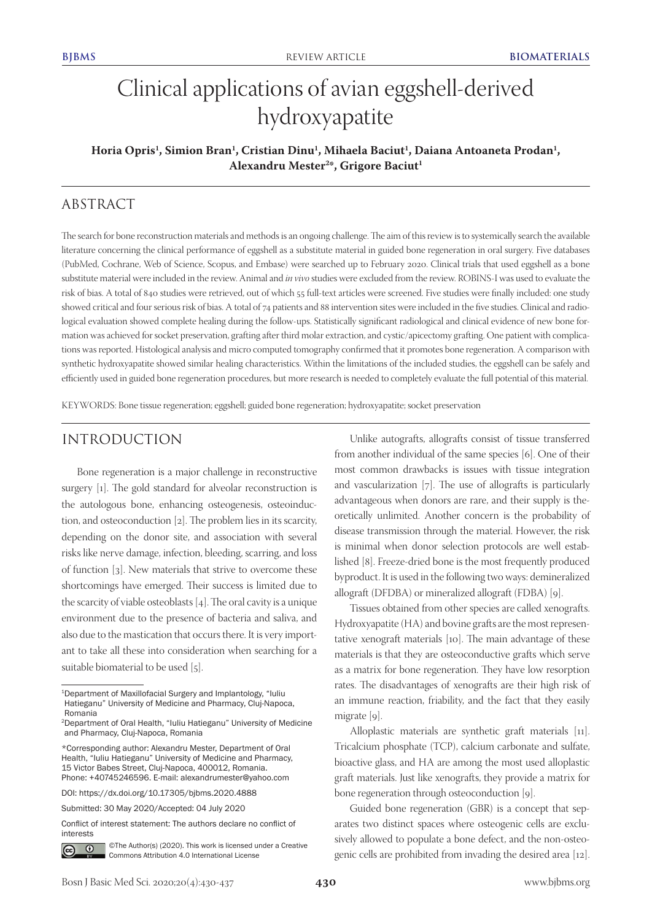# Clinical applications of avian eggshell-derived hydroxyapatite

## **Horia Opris1 , Simion Bran1 , Cristian Dinu1 , Mihaela Baciut1 , Daiana Antoaneta Prodan1 , Alexandru Mester2 \*, Grigore Baciut1**

# ABSTRACT

The search for bone reconstruction materials and methods is an ongoing challenge. The aim of this review is to systemically search the available literature concerning the clinical performance of eggshell as a substitute material in guided bone regeneration in oral surgery. Five databases (PubMed, Cochrane, Web of Science, Scopus, and Embase) were searched up to February 2020. Clinical trials that used eggshell as a bone substitute material were included in the review. Animal and *in vivo* studies were excluded from the review. ROBINS-I was used to evaluate the risk of bias. A total of 840 studies were retrieved, out of which 55 full-text articles were screened. Five studies were finally included: one study showed critical and four serious risk of bias. A total of 74 patients and 88 intervention sites were included in the five studies. Clinical and radiological evaluation showed complete healing during the follow-ups. Statistically significant radiological and clinical evidence of new bone formation was achieved for socket preservation, grafting after third molar extraction, and cystic/apicectomy grafting. One patient with complications was reported. Histological analysis and micro computed tomography confirmed that it promotes bone regeneration. A comparison with synthetic hydroxyapatite showed similar healing characteristics. Within the limitations of the included studies, the eggshell can be safely and efficiently used in guided bone regeneration procedures, but more research is needed to completely evaluate the full potential of this material.

KEYWORDS: Bone tissue regeneration; eggshell; guided bone regeneration; hydroxyapatite; socket preservation

## INTRODUCTION

Bone regeneration is a major challenge in reconstructive surgery [1]. The gold standard for alveolar reconstruction is the autologous bone, enhancing osteogenesis, osteoinduction, and osteoconduction [2]. The problem lies in its scarcity, depending on the donor site, and association with several risks like nerve damage, infection, bleeding, scarring, and loss of function [3]. New materials that strive to overcome these shortcomings have emerged. Their success is limited due to the scarcity of viable osteoblasts [4]. The oral cavity is a unique environment due to the presence of bacteria and saliva, and also due to the mastication that occurs there. It is very important to take all these into consideration when searching for a suitable biomaterial to be used [5].

DOI: https://dx.doi.org/10.17305/bjbms.2020.4888

Submitted: 30 May 2020/Accepted: 04 July 2020

Conflict of interest statement: The authors declare no conflict of interests



©The Author(s) (2020). This work is licensed under a Creative Commons Attribution 4.0 International License

Unlike autografts, allografts consist of tissue transferred from another individual of the same species [6]. One of their most common drawbacks is issues with tissue integration and vascularization [7]. The use of allografts is particularly advantageous when donors are rare, and their supply is theoretically unlimited. Another concern is the probability of disease transmission through the material. However, the risk is minimal when donor selection protocols are well established [8]. Freeze-dried bone is the most frequently produced byproduct. It is used in the following two ways: demineralized allograft (DFDBA) or mineralized allograft (FDBA) [9].

Tissues obtained from other species are called xenografts. Hydroxyapatite (HA) and bovine grafts are the most representative xenograft materials [10]. The main advantage of these materials is that they are osteoconductive grafts which serve as a matrix for bone regeneration. They have low resorption rates. The disadvantages of xenografts are their high risk of an immune reaction, friability, and the fact that they easily migrate [9].

Alloplastic materials are synthetic graft materials [11]. Tricalcium phosphate (TCP), calcium carbonate and sulfate, bioactive glass, and HA are among the most used alloplastic graft materials. Just like xenografts, they provide a matrix for bone regeneration through osteoconduction [9].

Guided bone regeneration (GBR) is a concept that separates two distinct spaces where osteogenic cells are exclusively allowed to populate a bone defect, and the non-osteogenic cells are prohibited from invading the desired area [12].

<sup>1</sup>Department of Maxillofacial Surgery and Implantology, "Iuliu Hatieganu" University of Medicine and Pharmacy, Cluj-Napoca, Romania

<sup>2</sup>Department of Oral Health, "Iuliu Hatieganu" University of Medicine and Pharmacy, Cluj-Napoca, Romania

<sup>\*</sup>Corresponding author: Alexandru Mester, Department of Oral Health, "Iuliu Hatieganu" University of Medicine and Pharmacy, 15 Victor Babes Street, Cluj-Napoca, 400012, Romania. Phone: +40745246596. E-mail: alexandrumester@yahoo.com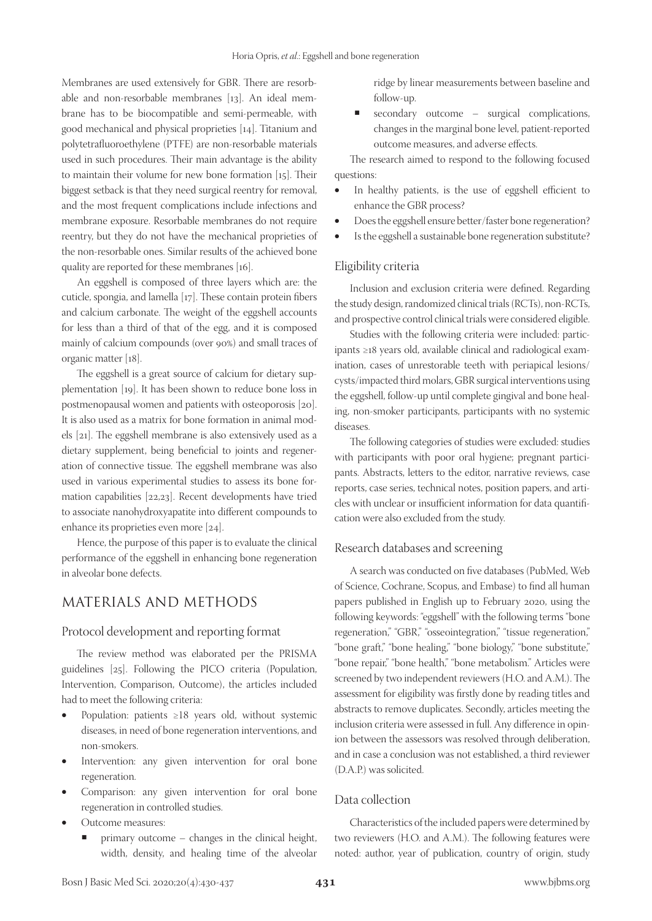Membranes are used extensively for GBR. There are resorbable and non-resorbable membranes [13]. An ideal membrane has to be biocompatible and semi-permeable, with good mechanical and physical proprieties [14]. Titanium and polytetrafluoroethylene (PTFE) are non-resorbable materials used in such procedures. Their main advantage is the ability to maintain their volume for new bone formation [15]. Their biggest setback is that they need surgical reentry for removal, and the most frequent complications include infections and membrane exposure. Resorbable membranes do not require reentry, but they do not have the mechanical proprieties of the non-resorbable ones. Similar results of the achieved bone quality are reported for these membranes [16].

An eggshell is composed of three layers which are: the cuticle, spongia, and lamella [17]. These contain protein fibers and calcium carbonate. The weight of the eggshell accounts for less than a third of that of the egg, and it is composed mainly of calcium compounds (over 90%) and small traces of organic matter [18].

The eggshell is a great source of calcium for dietary supplementation [19]. It has been shown to reduce bone loss in postmenopausal women and patients with osteoporosis [20]. It is also used as a matrix for bone formation in animal models [21]. The eggshell membrane is also extensively used as a dietary supplement, being beneficial to joints and regeneration of connective tissue. The eggshell membrane was also used in various experimental studies to assess its bone formation capabilities [22,23]. Recent developments have tried to associate nanohydroxyapatite into different compounds to enhance its proprieties even more [24].

Hence, the purpose of this paper is to evaluate the clinical performance of the eggshell in enhancing bone regeneration in alveolar bone defects.

## MATERIALS AND METHODS

#### Protocol development and reporting format

The review method was elaborated per the PRISMA guidelines [25]. Following the PICO criteria (Population, Intervention, Comparison, Outcome), the articles included had to meet the following criteria:

- Population: patients  $\geq 18$  years old, without systemic diseases, in need of bone regeneration interventions, and non-smokers.
- Intervention: any given intervention for oral bone regeneration.
- Comparison: any given intervention for oral bone regeneration in controlled studies.
- Outcome measures:
	- primary outcome changes in the clinical height, width, density, and healing time of the alveolar

ridge by linear measurements between baseline and follow-up.

secondary outcome – surgical complications, changes in the marginal bone level, patient-reported outcome measures, and adverse effects.

The research aimed to respond to the following focused questions:

- In healthy patients, is the use of eggshell efficient to enhance the GBR process?
- Does the eggshell ensure better/faster bone regeneration?
- Is the eggshell a sustainable bone regeneration substitute?

#### Eligibility criteria

Inclusion and exclusion criteria were defined. Regarding the study design, randomized clinical trials (RCTs), non-RCTs, and prospective control clinical trials were considered eligible.

Studies with the following criteria were included: participants ≥18 years old, available clinical and radiological examination, cases of unrestorable teeth with periapical lesions/ cysts/impacted third molars, GBR surgical interventions using the eggshell, follow-up until complete gingival and bone healing, non-smoker participants, participants with no systemic diseases.

The following categories of studies were excluded: studies with participants with poor oral hygiene; pregnant participants. Abstracts, letters to the editor, narrative reviews, case reports, case series, technical notes, position papers, and articles with unclear or insufficient information for data quantification were also excluded from the study.

#### Research databases and screening

A search was conducted on five databases (PubMed, Web of Science, Cochrane, Scopus, and Embase) to find all human papers published in English up to February 2020, using the following keywords: "eggshell" with the following terms "bone regeneration," "GBR," "osseointegration," "tissue regeneration," "bone graft," "bone healing," "bone biology," "bone substitute," "bone repair," "bone health," "bone metabolism." Articles were screened by two independent reviewers (H.O. and A.M.). The assessment for eligibility was firstly done by reading titles and abstracts to remove duplicates. Secondly, articles meeting the inclusion criteria were assessed in full. Any difference in opinion between the assessors was resolved through deliberation, and in case a conclusion was not established, a third reviewer (D.A.P.) was solicited.

#### Data collection

Characteristics of the included papers were determined by two reviewers (H.O. and A.M.). The following features were noted: author, year of publication, country of origin, study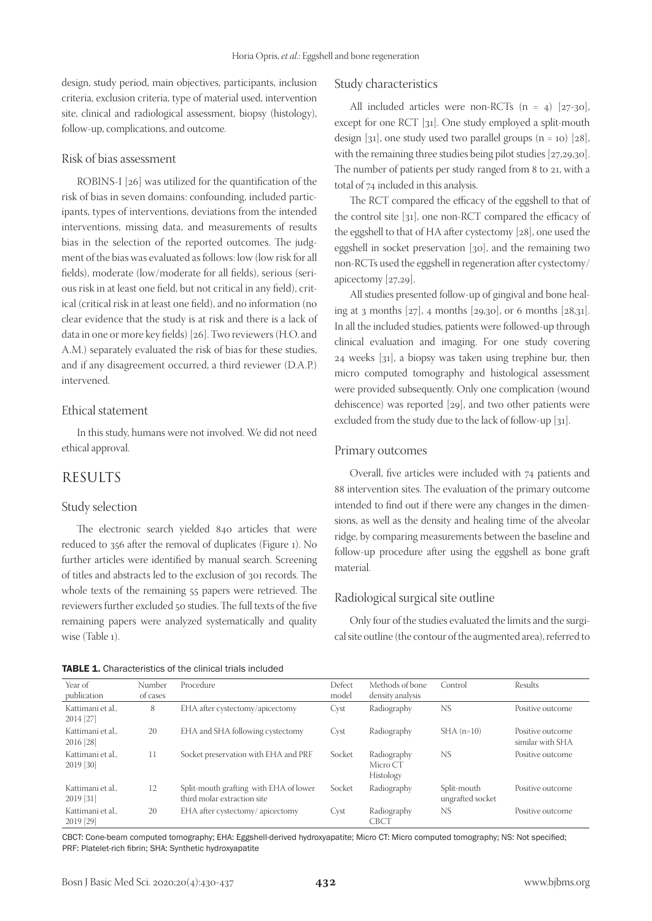design, study period, main objectives, participants, inclusion criteria, exclusion criteria, type of material used, intervention site, clinical and radiological assessment, biopsy (histology), follow-up, complications, and outcome.

#### Risk of bias assessment

ROBINS-I [26] was utilized for the quantification of the risk of bias in seven domains: confounding, included participants, types of interventions, deviations from the intended interventions, missing data, and measurements of results bias in the selection of the reported outcomes. The judgment of the bias was evaluated as follows: low (low risk for all fields), moderate (low/moderate for all fields), serious (serious risk in at least one field, but not critical in any field), critical (critical risk in at least one field), and no information (no clear evidence that the study is at risk and there is a lack of data in one or more key fields) [26]. Two reviewers (H.O. and A.M.) separately evaluated the risk of bias for these studies, and if any disagreement occurred, a third reviewer (D.A.P.) intervened.

#### Ethical statement

In this study, humans were not involved. We did not need ethical approval.

## RESULTS

#### Study selection

The electronic search yielded 840 articles that were reduced to 356 after the removal of duplicates (Figure 1). No further articles were identified by manual search. Screening of titles and abstracts led to the exclusion of 301 records. The whole texts of the remaining 55 papers were retrieved. The reviewers further excluded 50 studies. The full texts of the five remaining papers were analyzed systematically and quality wise (Table 1).

#### Study characteristics

All included articles were non-RCTs  $(n = 4)$  [27-30], except for one RCT [31]. One study employed a split-mouth design [31], one study used two parallel groups  $(n = 10)$  [28], with the remaining three studies being pilot studies [27,29,30]. The number of patients per study ranged from 8 to 21, with a total of 74 included in this analysis.

The RCT compared the efficacy of the eggshell to that of the control site [31], one non-RCT compared the efficacy of the eggshell to that of HA after cystectomy [28], one used the eggshell in socket preservation [30], and the remaining two non-RCTs used the eggshell in regeneration after cystectomy/ apicectomy [27,29].

All studies presented follow-up of gingival and bone healing at 3 months  $[27]$ , 4 months  $[29,30]$ , or 6 months  $[28,31]$ . In all the included studies, patients were followed-up through clinical evaluation and imaging. For one study covering 24 weeks [31], a biopsy was taken using trephine bur, then micro computed tomography and histological assessment were provided subsequently. Only one complication (wound dehiscence) was reported [29], and two other patients were excluded from the study due to the lack of follow-up [31].

#### Primary outcomes

Overall, five articles were included with 74 patients and 88 intervention sites. The evaluation of the primary outcome intended to find out if there were any changes in the dimensions, as well as the density and healing time of the alveolar ridge, by comparing measurements between the baseline and follow-up procedure after using the eggshell as bone graft material.

#### Radiological surgical site outline

Only four of the studies evaluated the limits and the surgical site outline (the contour of the augmented area), referred to

| <b>TABLE 1.</b> Characteristics of the clinical trials included |  |  |  |
|-----------------------------------------------------------------|--|--|--|
|-----------------------------------------------------------------|--|--|--|

| Year of<br>publication         | Number<br>of cases | Procedure                                                             | Defect<br>model | Methods of bone<br>density analysis  | Control                         | Results                              |
|--------------------------------|--------------------|-----------------------------------------------------------------------|-----------------|--------------------------------------|---------------------------------|--------------------------------------|
| Kattimani et al<br>$2014$ [27] | 8                  | EHA after cystectomy/apicectomy                                       | Cyst            | Radiography                          | NS.                             | Positive outcome                     |
| Kattimani et al<br>2016 [28]   | 20                 | EHA and SHA following cystectomy                                      | Cyst            | Radiography                          | $SHA(n=10)$                     | Positive outcome<br>similar with SHA |
| Kattimani et al<br>$2019$ [30] | 11                 | Socket preservation with EHA and PRF                                  | Socket          | Radiography<br>Micro CT<br>Histology | <b>NS</b>                       | Positive outcome                     |
| Kattimani et al<br>$2019$ [31] | 12                 | Split-mouth grafting with EHA of lower<br>third molar extraction site | Socket          | Radiography                          | Split-mouth<br>ungrafted socket | Positive outcome                     |
| Kattimani et al<br>2019 [29]   | 20                 | EHA after cystectomy/apicectomy                                       | Cyst            | Radiography<br><b>CBCT</b>           | NS.                             | Positive outcome                     |

CBCT: Cone-beam computed tomography; EHA: Eggshell-derived hydroxyapatite; Micro CT: Micro computed tomography; NS: Not specified; PRF: Platelet-rich fibrin; SHA: Synthetic hydroxyapatite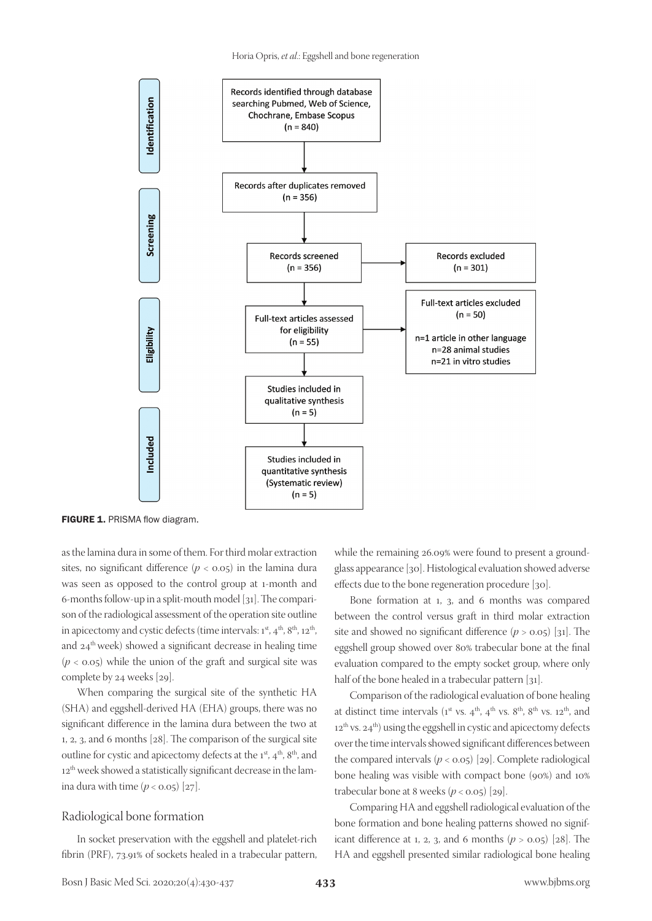

FIGURE 1. PRISMA flow diagram.

as the lamina dura in some of them. For third molar extraction sites, no significant difference  $(p < 0.05)$  in the lamina dura was seen as opposed to the control group at 1-month and 6-months follow-up in a split-mouth model [31]. The comparison of the radiological assessment of the operation site outline in apicectomy and cystic defects (time intervals:  $1<sup>st</sup>$ ,  $4<sup>th</sup>$ ,  $8<sup>th</sup>$ ,  $12<sup>th</sup>$ , and 24<sup>th</sup> week) showed a significant decrease in healing time  $(p < 0.05)$  while the union of the graft and surgical site was complete by 24 weeks [29].

When comparing the surgical site of the synthetic HA (SHA) and eggshell-derived HA (EHA) groups, there was no significant difference in the lamina dura between the two at 1, 2, 3, and 6 months [28]. The comparison of the surgical site outline for cystic and apicectomy defects at the 1<sup>st</sup>, 4<sup>th</sup>, 8<sup>th</sup>, and 12<sup>th</sup> week showed a statistically significant decrease in the lamina dura with time  $(p < 0.05)$  [27].

#### Radiological bone formation

In socket preservation with the eggshell and platelet-rich fibrin (PRF), 73.91% of sockets healed in a trabecular pattern,

while the remaining 26.09% were found to present a groundglass appearance [30]. Histological evaluation showed adverse effects due to the bone regeneration procedure [30].

Bone formation at 1, 3, and 6 months was compared between the control versus graft in third molar extraction site and showed no significant difference  $(p > 0.05)$  [31]. The eggshell group showed over 80% trabecular bone at the final evaluation compared to the empty socket group, where only half of the bone healed in a trabecular pattern [31].

Comparison of the radiological evaluation of bone healing at distinct time intervals ( $1^{st}$  vs.  $4^{th}$ ,  $4^{th}$  vs.  $8^{th}$ ,  $8^{th}$  vs.  $12^{th}$ , and  $12<sup>th</sup>$  vs.  $24<sup>th</sup>$ ) using the eggshell in cystic and apicectomy defects over the time intervals showed significant differences between the compared intervals  $(p < 0.05)$  [29]. Complete radiological bone healing was visible with compact bone (90%) and 10% trabecular bone at 8 weeks  $(p < 0.05)$  [29].

Comparing HA and eggshell radiological evaluation of the bone formation and bone healing patterns showed no significant difference at 1, 2, 3, and 6 months  $(p > 0.05)$  [28]. The HA and eggshell presented similar radiological bone healing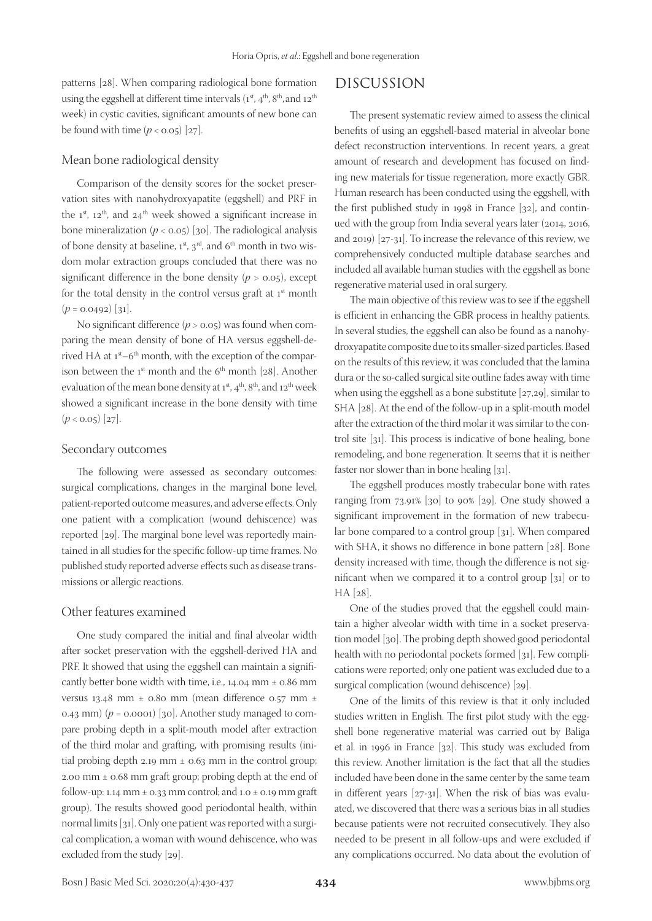patterns [28]. When comparing radiological bone formation using the eggshell at different time intervals  $(1^{st}, 4^{th}, 8^{th}, 3^{th}, 4^{th})$ week) in cystic cavities, significant amounts of new bone can be found with time  $(p < 0.05)$  [27].

### Mean bone radiological density

Comparison of the density scores for the socket preservation sites with nanohydroxyapatite (eggshell) and PRF in the  $1^{st}$ ,  $12^{th}$ , and  $24^{th}$  week showed a significant increase in bone mineralization  $(p < 0.05)$  [30]. The radiological analysis of bone density at baseline,  $1^{st}$ ,  $3^{rd}$ , and  $6^{th}$  month in two wisdom molar extraction groups concluded that there was no significant difference in the bone density  $(p > 0.05)$ , except for the total density in the control versus graft at  $1<sup>st</sup>$  month  $(p = 0.0492)$  [31].

No significant difference (*p* > 0.05) was found when comparing the mean density of bone of HA versus eggshell-derived HA at  $1^{st}$ –6<sup>th</sup> month, with the exception of the comparison between the  $1^{st}$  month and the  $6^{th}$  month [28]. Another evaluation of the mean bone density at  $1^{st}$ ,  $4^{th}$ ,  $8^{th}$ , and  $12^{th}$  week showed a significant increase in the bone density with time  $(p < 0.05)$  [27].

#### Secondary outcomes

The following were assessed as secondary outcomes: surgical complications, changes in the marginal bone level, patient-reported outcome measures, and adverse effects. Only one patient with a complication (wound dehiscence) was reported [29]. The marginal bone level was reportedly maintained in all studies for the specific follow-up time frames. No published study reported adverse effects such as disease transmissions or allergic reactions.

#### Other features examined

One study compared the initial and final alveolar width after socket preservation with the eggshell-derived HA and PRF. It showed that using the eggshell can maintain a significantly better bone width with time, i.e., 14.04 mm ± 0.86 mm versus 13.48 mm ± 0.80 mm (mean difference 0.57 mm ± 0.43 mm)  $(p = 0.0001)$  [30]. Another study managed to compare probing depth in a split-mouth model after extraction of the third molar and grafting, with promising results (initial probing depth 2.19 mm  $\pm$  0.63 mm in the control group; 2.00 mm  $\pm$  0.68 mm graft group; probing depth at the end of follow-up: 1.14 mm  $\pm$  0.33 mm control; and 1.0  $\pm$  0.19 mm graft group). The results showed good periodontal health, within normal limits [31]. Only one patient was reported with a surgical complication, a woman with wound dehiscence, who was excluded from the study [29].

# DISCUSSION

The present systematic review aimed to assess the clinical benefits of using an eggshell-based material in alveolar bone defect reconstruction interventions. In recent years, a great amount of research and development has focused on finding new materials for tissue regeneration, more exactly GBR. Human research has been conducted using the eggshell, with the first published study in 1998 in France [32], and continued with the group from India several years later (2014, 2016, and 2019) [27-31]. To increase the relevance of this review, we comprehensively conducted multiple database searches and included all available human studies with the eggshell as bone regenerative material used in oral surgery.

The main objective of this review was to see if the eggshell is efficient in enhancing the GBR process in healthy patients. In several studies, the eggshell can also be found as a nanohydroxyapatite composite due to its smaller-sized particles. Based on the results of this review, it was concluded that the lamina dura or the so-called surgical site outline fades away with time when using the eggshell as a bone substitute [27,29], similar to SHA [28]. At the end of the follow-up in a split-mouth model after the extraction of the third molar it was similar to the control site [31]. This process is indicative of bone healing, bone remodeling, and bone regeneration. It seems that it is neither faster nor slower than in bone healing [31].

The eggshell produces mostly trabecular bone with rates ranging from 73.91% [30] to 90% [29]. One study showed a significant improvement in the formation of new trabecular bone compared to a control group [31]. When compared with SHA, it shows no difference in bone pattern [28]. Bone density increased with time, though the difference is not significant when we compared it to a control group [31] or to HA [28].

One of the studies proved that the eggshell could maintain a higher alveolar width with time in a socket preservation model [30]. The probing depth showed good periodontal health with no periodontal pockets formed [31]. Few complications were reported; only one patient was excluded due to a surgical complication (wound dehiscence) [29].

One of the limits of this review is that it only included studies written in English. The first pilot study with the eggshell bone regenerative material was carried out by Baliga et al. in 1996 in France [32]. This study was excluded from this review. Another limitation is the fact that all the studies included have been done in the same center by the same team in different years [27-31]. When the risk of bias was evaluated, we discovered that there was a serious bias in all studies because patients were not recruited consecutively. They also needed to be present in all follow-ups and were excluded if any complications occurred. No data about the evolution of

Bosn J Basic Med Sci. 2020;20(4):430-437 **434** www.bjbms.org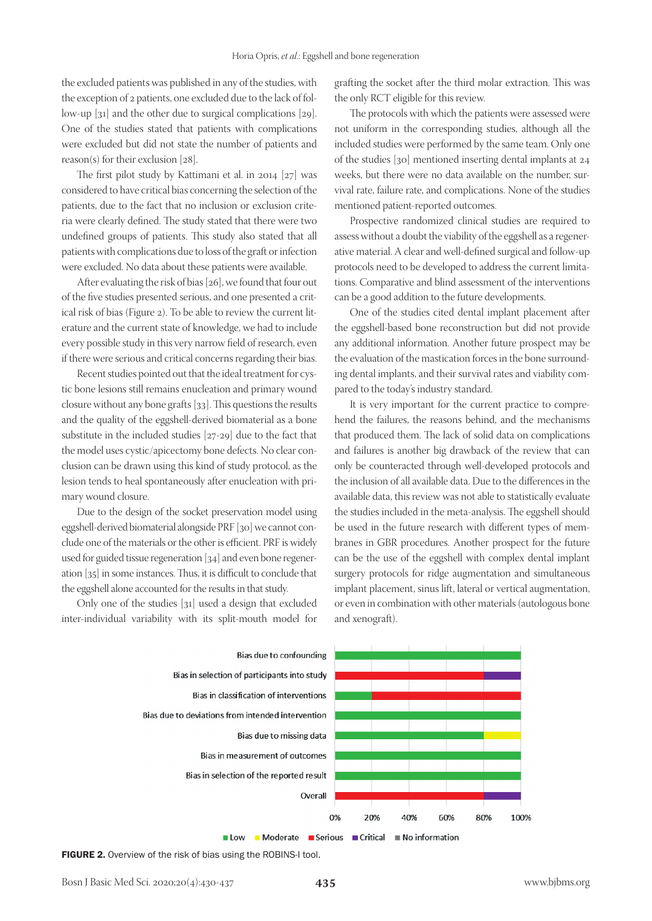the excluded patients was published in any of the studies, with the exception of 2 patients, one excluded due to the lack of follow-up [31] and the other due to surgical complications [29]. One of the studies stated that patients with complications were excluded but did not state the number of patients and reason(s) for their exclusion [28].

The first pilot study by Kattimani et al. in 2014 [27] was considered to have critical bias concerning the selection of the patients, due to the fact that no inclusion or exclusion criteria were clearly defined. The study stated that there were two undefined groups of patients. This study also stated that all patients with complications due to loss of the graft or infection were excluded. No data about these patients were available.

After evaluating the risk of bias [26], we found that four out of the five studies presented serious, and one presented a critical risk of bias (Figure 2). To be able to review the current literature and the current state of knowledge, we had to include every possible study in this very narrow field of research, even if there were serious and critical concerns regarding their bias.

Recent studies pointed out that the ideal treatment for cystic bone lesions still remains enucleation and primary wound closure without any bone grafts [33]. This questions the results and the quality of the eggshell-derived biomaterial as a bone substitute in the included studies [27-29] due to the fact that the model uses cystic/apicectomy bone defects. No clear conclusion can be drawn using this kind of study protocol, as the lesion tends to heal spontaneously after enucleation with primary wound closure.

Due to the design of the socket preservation model using eggshell-derived biomaterial alongside PRF [30] we cannot conclude one of the materials or the other is efficient. PRF is widely used for guided tissue regeneration [34] and even bone regeneration [35] in some instances. Thus, it is difficult to conclude that the eggshell alone accounted for the results in that study.

Only one of the studies [31] used a design that excluded inter-individual variability with its split-mouth model for grafting the socket after the third molar extraction. This was the only RCT eligible for this review.

The protocols with which the patients were assessed were not uniform in the corresponding studies, although all the included studies were performed by the same team. Only one of the studies [30] mentioned inserting dental implants at 24 weeks, but there were no data available on the number, survival rate, failure rate, and complications. None of the studies mentioned patient-reported outcomes.

Prospective randomized clinical studies are required to assess without a doubt the viability of the eggshell as a regenerative material. A clear and well-defined surgical and follow-up protocols need to be developed to address the current limitations. Comparative and blind assessment of the interventions can be a good addition to the future developments.

One of the studies cited dental implant placement after the eggshell-based bone reconstruction but did not provide any additional information. Another future prospect may be the evaluation of the mastication forces in the bone surrounding dental implants, and their survival rates and viability compared to the today's industry standard.

It is very important for the current practice to comprehend the failures, the reasons behind, and the mechanisms that produced them. The lack of solid data on complications and failures is another big drawback of the review that can only be counteracted through well-developed protocols and the inclusion of all available data. Due to the differences in the available data, this review was not able to statistically evaluate the studies included in the meta-analysis. The eggshell should be used in the future research with different types of membranes in GBR procedures. Another prospect for the future can be the use of the eggshell with complex dental implant surgery protocols for ridge augmentation and simultaneous implant placement, sinus lift, lateral or vertical augmentation, or even in combination with other materials (autologous bone and xenograft).



FIGURE 2. Overview of the risk of bias using the ROBINS-I tool.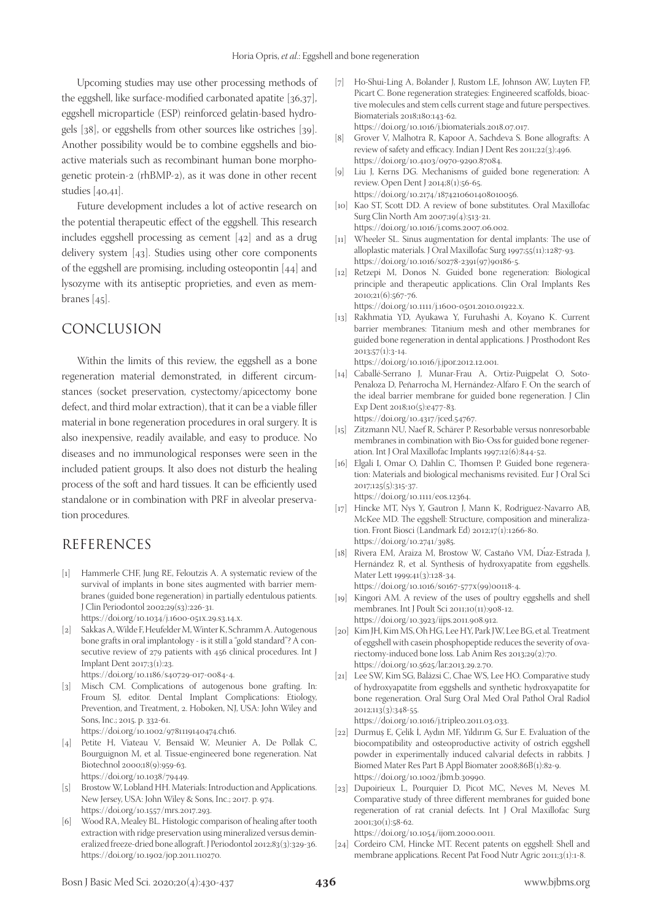Upcoming studies may use other processing methods of the eggshell, like surface-modified carbonated apatite [36,37], eggshell microparticle (ESP) reinforced gelatin-based hydrogels [38], or eggshells from other sources like ostriches [39]. Another possibility would be to combine eggshells and bioactive materials such as recombinant human bone morphogenetic protein-2 (rhBMP-2), as it was done in other recent studies [40,41].

Future development includes a lot of active research on the potential therapeutic effect of the eggshell. This research includes eggshell processing as cement [42] and as a drug delivery system [43]. Studies using other core components of the eggshell are promising, including osteopontin [44] and lysozyme with its antiseptic proprieties, and even as membranes [45].

## CONCLUSION

Within the limits of this review, the eggshell as a bone regeneration material demonstrated, in different circumstances (socket preservation, cystectomy/apicectomy bone defect, and third molar extraction), that it can be a viable filler material in bone regeneration procedures in oral surgery. It is also inexpensive, readily available, and easy to produce. No diseases and no immunological responses were seen in the included patient groups. It also does not disturb the healing process of the soft and hard tissues. It can be efficiently used standalone or in combination with PRF in alveolar preservation procedures.

## REFERENCES

[1] Hammerle CHF, Jung RE, Feloutzis A. A systematic review of the survival of implants in bone sites augmented with barrier membranes (guided bone regeneration) in partially edentulous patients. J Clin Periodontol 2002;29(s3):226-31.

https://doi.org/10.1034/j.1600-051x.29.s3.14.x.

[2] Sakkas A, Wilde F, Heufelder M, Winter K, Schramm A. Autogenous bone grafts in oral implantology - is it still a "gold standard"? A consecutive review of 279 patients with 456 clinical procedures. Int J Implant Dent 2017;3(1):23.

https://doi.org/10.1186/s40729-017-0084-4.

- [3] Misch CM. Complications of autogenous bone grafting. In: Froum SJ, editor. Dental Implant Complications: Etiology, Prevention, and Treatment, 2. Hoboken, NJ, USA: John Wiley and Sons, Inc.; 2015. p. 332-61. https://doi.org/10.1002/9781119140474.ch16.
- [4] Petite H, Viateau V, Bensaïd W, Meunier A, De Pollak C, Bourguignon M, et al. Tissue-engineered bone regeneration. Nat Biotechnol 2000;18(9):959-63. https://doi.org/10.1038/79449.
- [5] Brostow W, Lobland HH. Materials: Introduction and Applications. New Jersey, USA: John Wiley & Sons, Inc.; 2017. p. 974. https://doi.org/10.1557/mrs.2017.293.
- [6] Wood RA, Mealey BL. Histologic comparison of healing after tooth extraction with ridge preservation using mineralized versus demineralized freeze-dried bone allograft. J Periodontol 2012;83(3):329-36. https://doi.org/10.1902/jop.2011.110270.
- [7] Ho-Shui-Ling A, Bolander J, Rustom LE, Johnson AW, Luyten FP, Picart C. Bone regeneration strategies: Engineered scaffolds, bioactive molecules and stem cells current stage and future perspectives. Biomaterials 2018;180:143-62. https://doi.org/10.1016/j.biomaterials.2018.07.017.
- [8] Grover V, Malhotra R, Kapoor A, Sachdeva S. Bone allografts: A review of safety and efficacy. Indian J Dent Res 2011;22(3):496. https://doi.org/10.4103/0970-9290.87084.
- [9] Liu J, Kerns DG. Mechanisms of guided bone regeneration: A review. Open Dent J 2014;8(1):56-65. https://doi.org/10.2174/1874210601408010056.
- [10] Kao ST, Scott DD. A review of bone substitutes. Oral Maxillofac Surg Clin North Am 2007;19(4):513-21. https://doi.org/10.1016/j.coms.2007.06.002.
- [11] Wheeler SL. Sinus augmentation for dental implants: The use of alloplastic materials. J Oral Maxillofac Surg 1997;55(11):1287-93. https://doi.org/10.1016/s0278-2391(97)90186-5.
- [12] Retzepi M, Donos N. Guided bone regeneration: Biological principle and therapeutic applications. Clin Oral Implants Res 2010;21(6):567-76. https://doi.org/10.1111/j.1600-0501.2010.01922.x.
- [13] Rakhmatia YD, Ayukawa Y, Furuhashi A, Koyano K. Current barrier membranes: Titanium mesh and other membranes for guided bone regeneration in dental applications. J Prosthodont Res 2013;57(1):3-14.

https://doi.org/10.1016/j.jpor.2012.12.001. [14] Caballé-Serrano J, Munar-Frau A, Ortiz-Puigpelat O, Soto-Penaloza D, Peñarrocha M, Hernández-Alfaro F. On the search of the ideal barrier membrane for guided bone regeneration. J Clin

Exp Dent 2018;10(5):e477-83.

- https://doi.org/10.4317/jced.54767. [15] Zitzmann NU, Naef R, Schärer P. Resorbable versus nonresorbable membranes in combination with Bio-Oss for guided bone regeneration. Int J Oral Maxillofac Implants 1997;12(6):844-52.
- [16] Elgali I, Omar O, Dahlin C, Thomsen P. Guided bone regeneration: Materials and biological mechanisms revisited. Eur J Oral Sci 2017;125(5):315-37. https://doi.org/10.1111/eos.12364.
- [17] Hincke MT, Nys Y, Gautron J, Mann K, Rodriguez-Navarro AB, McKee MD. The eggshell: Structure, composition and mineralization. Front Biosci (Landmark Ed) 2012;17(1):1266-80. https://doi.org/10.2741/3985.
- [18] Rivera EM, Araiza M, Brostow W, Castaño VM, Diaz-Estrada J, Hernández R, et al. Synthesis of hydroxyapatite from eggshells. Mater Lett 1999;41(3):128-34. https://doi.org/10.1016/s0167-577x(99)00118-4.
- [19] Kingori AM. A review of the uses of poultry eggshells and shell membranes. Int J Poult Sci 2011;10(11):908-12. https://doi.org/10.3923/ijps.2011.908.912.
- [20] Kim JH, Kim MS, Oh HG, Lee HY, Park JW, Lee BG, et al. Treatment of eggshell with casein phosphopeptide reduces the severity of ovariectomy-induced bone loss. Lab Anim Res 2013;29(2):70. https://doi.org/10.5625/lar.2013.29.2.70.
- [21] Lee SW, Kim SG, Balázsi C, Chae WS, Lee HO. Comparative study of hydroxyapatite from eggshells and synthetic hydroxyapatite for bone regeneration. Oral Surg Oral Med Oral Pathol Oral Radiol 2012;113(3):348-55.

https://doi.org/10.1016/j.tripleo.2011.03.033.

- [22] Durmuş E, Çelik İ, Aydın MF, Yıldırım G, Sur E. Evaluation of the biocompatibility and osteoproductive activity of ostrich eggshell powder in experimentally induced calvarial defects in rabbits. J Biomed Mater Res Part B Appl Biomater 2008;86B(1):82-9. https://doi.org/10.1002/jbm.b.30990.
- [23] Dupoirieux L, Pourquier D, Picot MC, Neves M, Neves M. Comparative study of three different membranes for guided bone regeneration of rat cranial defects. Int J Oral Maxillofac Surg 2001;30(1):58-62.

https://doi.org/10.1054/ijom.2000.0011.

[24] Cordeiro CM, Hincke MT. Recent patents on eggshell: Shell and membrane applications. Recent Pat Food Nutr Agric 2011;3(1):1-8.